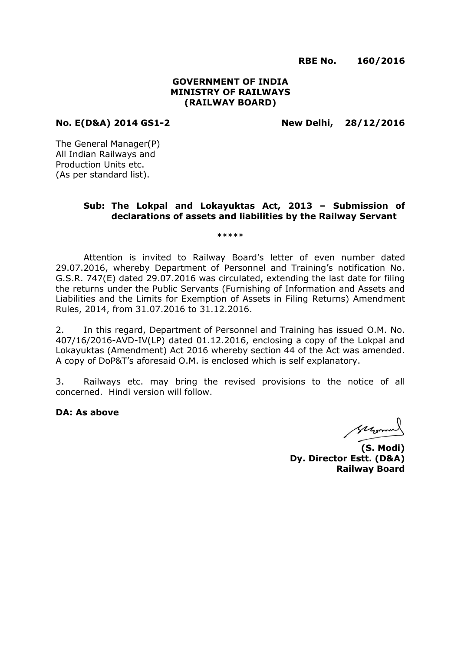**RBE No. 160/2016**

## **GOVERNMENT OF INDIA MINISTRY OF RAILWAYS (RAILWAY BOARD)**

**No. E(D&A) 2014 GS1-2 New Delhi, 28/12/2016**

The General Manager(P) All Indian Railways and Production Units etc. (As per standard list).

## **Sub: The Lokpal and Lokayuktas Act, 2013 – Submission of declarations of assets and liabilities by the Railway Servant**

\*\*\*\*\*

Attention is invited to Railway Board's letter of even number dated 29.07.2016, whereby Department of Personnel and Training's notification No. G.S.R. 747(E) dated 29.07.2016 was circulated, extending the last date for filing the returns under the Public Servants (Furnishing of Information and Assets and Liabilities and the Limits for Exemption of Assets in Filing Returns) Amendment Rules, 2014, from 31.07.2016 to 31.12.2016.

2. In this regard, Department of Personnel and Training has issued O.M. No. 407/16/2016-AVD-IV(LP) dated 01.12.2016, enclosing a copy of the Lokpal and Lokayuktas (Amendment) Act 2016 whereby section 44 of the Act was amended. A copy of DoP&T's aforesaid O.M. is enclosed which is self explanatory.

3. Railways etc. may bring the revised provisions to the notice of all concerned. Hindi version will follow.

**DA: As above**

suromal

**(S. Modi) Dy. Director Estt. (D&A) Railway Board**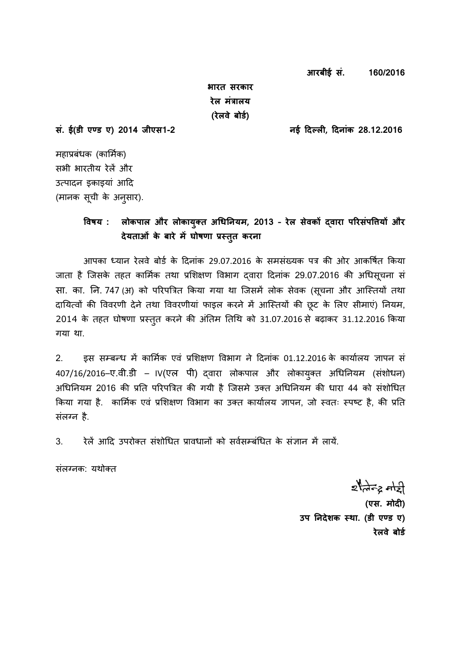**आरबीई सं. 160/2016**

**भारत सरकार रेल मंत्रालय (रेलवे बोर्ड)** 

**सं. ई(र्ी एण् र् ए) 2014 जीएस1-2 नई दिल् ली, दिनांक 28.12.2016**

महाप्रबंधक (कार्मिक) सभी भारतीय रेलें और उत्पादन इकाइयां आदि (मानक सूची के अनुसार).

# **ववषय : लोकपाल और लोकायक्ुत अधिननयम, 2013 – रेल सेवकों द्वारा पररसंपवियों और िेयताओं के बारे मेंघोषणा प्रस्तत करना ु**

आपका ध्यान रेलवे बोर्ि के ददनांक 29.07.2016 के समसंख्यक पत्र की ओर आकर्षित ककया जाता है जिसके तहत कार्मिक तथा प्रशिक्षण विभाग दवारा दिनांक 29.07.2016 की अधिस़चना सं सा. का. नि. 747 (अ) को परिपत्रित किया गया था जिसमें लोक सेवक (सूचना और आस्तियों तथा दानयत्वों की र्ववरणी देने तथा र्ववरणीयां फाइल करने में आजततयों की छूट के र्लए सीमाएं) ननयम, 2014 के तहत घोषणा प्रस्तुत करने की अंतिम तिथि को 31.07.2016 से बढ़ाकर 31.12.2016 किया गया था.

2. इस सम्बन्ध में कार्मिक एवं प्रर्िक्षण र्वभाग ने ददनांक 01.12.2016 के कायािलय ज्ञापन सं  $407/16/2016$ –ए.वी.डी – IV(एल पी) दवारा लोकपाल और लोकायुक्त अधिनियम (संशोधन) अधिनियम 2016 की प्रति परिपत्रित की गयी है जिसमे उक्त अधिनियम की धारा 44 को संशोधित किया गया है. कार्मिक एवं प्रशिक्षण विभाग का उक्त कार्यालय ज्ञापन, जो स्वतः स्पष्ट है, की प्रति संलग्न है.

3. रेलें आदि उपरोक्त संशोधित प्रावधानों को सर्वसम्बंधित के संज्ञान में लायें.

संलग्नक: यथोक्त

 $z$  and  $z$  and **(एस. मोिी)**  उप निदेशक स्था. (डी एण्ड ए) **रेलवे बोर्ड**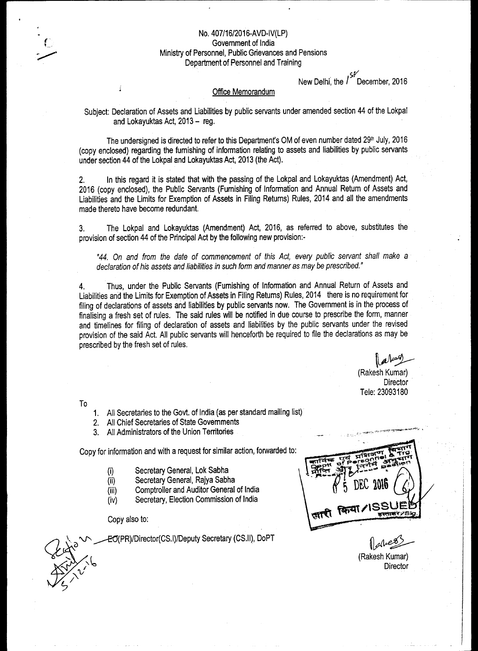# No. 407/16/2016-AVD-IV(LP)

Government of India

Ministry of Personnel, Public Grievances and Pensions Department of Personnel and Training

> sr\_ New Delhi, the / December, 2016

#### Office Memorandum

Subject: Declaration of Assets and Liabilities by public servants under amended section 44 of the Lokpal and Lokayuktas Act, 2013 — reg.

The undersigned is directed to refer to this Department's OM of even number dated 29th July, 2016 (copy enclosed) regarding the furnishing of information relating to assets and liabilities by public servants under section 44 of the Lokpal and Lokayuktas Act, 2013 (the Act).

2. In this regard it is stated that with the passing of the Lokpal and Lokayuktas (Amendment) Act, 2016 (copy enclosed), the Public Servants (Furnishing of Information and Annual Return of Assets and Liabilities and the Limits for Exemption of Assets in Filing Returns) Rules, 2014 and all the amendments made thereto have become redundant.

3. The Lokpal and Lokayuktas (Amendment) Act, 2016, as referred to above, substitutes the provision of section 44 of the Principal Act by the following new provision:-

*"44.* On *and from the date of commencement of this Act, every public servant shall make a declaration of his assets and liabilities in such form and manner as may be prescribed."* 

4. Thus, under the Public Servants (Furnishing of Information and Annual Return of Assets and Liabilities and the Limits for Exemption of Assets in Filing Returns) Rules, 2014 there is no requirement for filing of declarations of assets and liabilities by public servants now. The Government is in the process of finalising a fresh set of rules. The said rules will be notified in due course to prescribe the form, manner and timelines for filing of declaration of assets and liabilities by the public servants under the revised provision of the said Act. All public servants will henceforth be required to file the declarations as may be prescribed by the fresh set of rules.

> (Rakesh Kumar) **Director** Tele: 23093180

To

 $\overline{\phantom{0}}$ a

- 1. All Secretaries to the Govt. of India (as per standard mailing list)
- 2. All Chief Secretaries of State Governments
- 3. All Administrators of the Union Territories

Copy for information and with a request for similar action, forwarded to:

- Secretary General, Lok Sabha  $(i)$
- (ii) Secretary General, Rajya Sabha
- (iii) Comptroller and Auditor General of India
- (iv) Secretary, Election Commission of India

Copy also to:

\_\_\_—EII(PR)/Director(CS.I)/Deputy Secretary (CS.II), DoPT

(Rakesh Kumar)

**Director**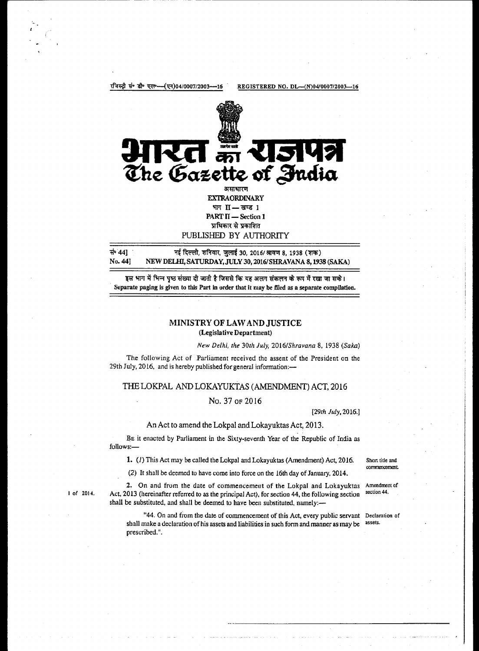रजिस्ट्री सं॰ डी॰ एल॰--(एन)04/0007/2003---16 REGISTERED NO. DL--(N)04/0007/2003--16



**EXTRAORDINARY** भाग $\Pi$ — खण्ड 1  $PART II - Section 1$ प्राधिकार से प्रकाशित PUBLISHED BY AUTHORITY

X44] , 71f1-4R, or 30, 2016/ Nr4tri 8, 1938 (TV) NEW DELHI, SATURDAY, JULY 30, 2016/ SHRAVANA 8, 1938 (SAKA)

इस भाग में भिन्न पृष्ठ संख्या दी जाती है जिससे कि यह अलग संकलन के रूप में रखा जा सके। Separate paging is given to this Part in order that it may be filed as a separate compilation.

#### MINISTRY OF LAW AND JUSTICE (Legislative Department)

*New Delhi, the* 30th *July, 2016IShravana* 8, 1938 *(Saka)* 

The following Act of Parliament received the assent of the President on the 29th July, 2016, and is hereby published for general information:—

#### THE LOKPAL AND LOKAYUKTAS (AMENDMENT) ACT, 2016

### No. 37 OF 2016

[29th *July,* 2016.]

#### An Act to amend the Lokpal and Lokayuktas Act, 2013.

**BE** it enacted by Parliament in the Sixty-seventh Year of the Republic of India as follows:—

1. (1) This Act may be called the Lokpal and Lokayuktas (Amendment) Act, 2016. Short title and

(2) It shall be deemed to have come into force on the 16th day of January, 2014.

2. On and from the date of commencement of the Lokpal and Lokayuktas Amendment of 013 (hereinafter referred to as the principal Act) for section 44, the following section 44. 1 of 2014. Act, 2013 (hereinafter referred to as the principal Act), for section 44, the following section shall be substituted, and shall be deemed to have been substituted, namely:—

> "44. On and from the date of commencement of this Act, every public servant Declaration of shall make a declaration of his assets and liabilities in such form and manner as may be assets. prescribed.".

cormencement.